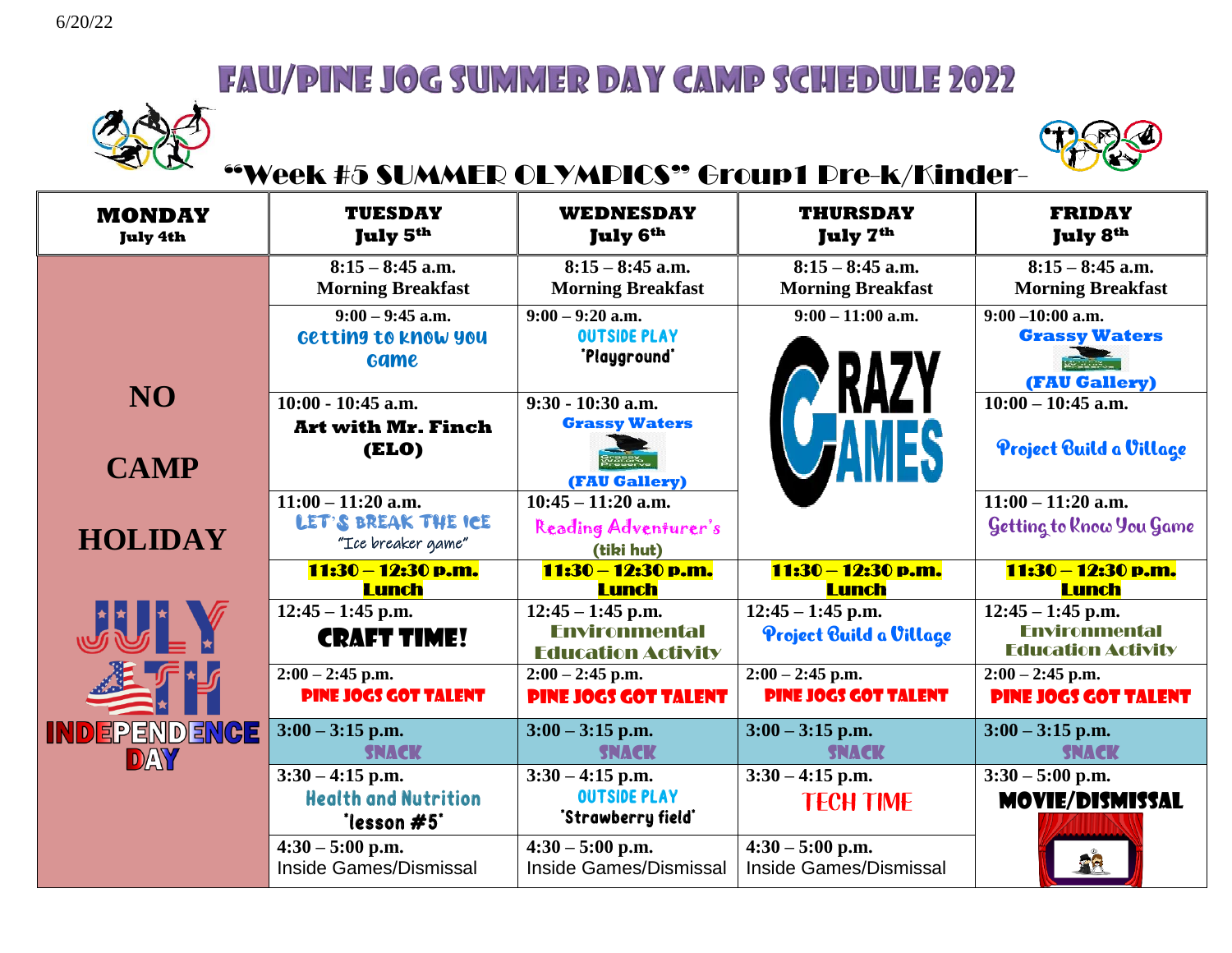



### "Week #5 SUMMER OLYMPICS" Group1 Pre-k/Kinder-

| <b>MONDAY</b><br><b>July 4th</b> | <b>TUESDAY</b><br>July 5 <sup>th</sup>                            | <b>WEDNESDAY</b><br><b>July 6th</b>                                      | <b>THURSDAY</b><br>July 7 <sup>th</sup>           | <b>FRIDAY</b><br><b>July 8th</b>                                              |
|----------------------------------|-------------------------------------------------------------------|--------------------------------------------------------------------------|---------------------------------------------------|-------------------------------------------------------------------------------|
|                                  | $8:15 - 8:45$ a.m.<br><b>Morning Breakfast</b>                    | $8:15 - 8:45$ a.m.<br><b>Morning Breakfast</b>                           | $8:15 - 8:45$ a.m.<br><b>Morning Breakfast</b>    | $8:15 - 8:45$ a.m.<br><b>Morning Breakfast</b>                                |
|                                  | $9:00 - 9:45$ a.m.<br>Getting to know you<br><b>Game</b>          | $9:00 - 9:20$ a.m.<br><b>OUTSIDE PLAY</b><br>"Playground"                | $9:00 - 11:00$ a.m.<br><b>RAZY</b>                | $9:00 - 10:00$ a.m.<br><b>Grassy Waters</b><br><b>WEIGHT</b><br>(FAU Gallery) |
| <b>NO</b><br><b>CAMP</b>         | $10:00 - 10:45$ a.m.<br><b>Art with Mr. Finch</b><br><b>(ELO)</b> | $9:30 - 10:30$ a.m.<br><b>Grassy Waters</b><br>(FAU Gallery)             |                                                   | $10:00 - 10:45$ a.m.<br>Project Build a Village                               |
| <b>HOLIDAY</b>                   | $11:00 - 11:20$ a.m.<br>LET'S BREAK THE ICE<br>"Ice breaker game" | $10:45 - 11:20$ a.m.<br>Reading Adventurer's<br>(tiki hut)               |                                                   | $11:00 - 11:20$ a.m.<br>Getting to Know You Game                              |
|                                  | 11:30 – 12:30 p.m.<br><b>Lunch</b>                                | 11:30 – 12:30 p.m.<br><b>Lunch</b>                                       | 11:30 – 12:30 p.m.<br><b>Lunch</b>                | 11:30 – 12:30 p.m.<br><b>Lunch</b>                                            |
| JU 1                             | $12:45 - 1:45$ p.m.<br><b>CRAFT TIME!</b>                         | $12:45 - 1:45$ p.m.<br><b>Fnvironmental</b><br><b>Education Activity</b> | $12:45 - 1:45$ p.m.<br>Project Build a Village    | $12:45 - 1:45$ p.m.<br><b>Environmental</b><br><b>Education Activity</b>      |
|                                  | $2:00 - 2:45$ p.m.<br><b>PINE JOGS GOT TALENT</b>                 | $2:00 - 2:45$ p.m.<br><b>PINE JOGS GOT TALENT</b>                        | $2:00 - 2:45$ p.m.<br><b>PINE JOGS GOT TALENT</b> | $2:00 - 2:45$ p.m.<br><b>PINE JOGS GOT TALENT</b>                             |
| <b>INDEPENDENCE</b><br>DAY       | $3:00 - 3:15$ p.m.<br><b>SNACK</b>                                | $3:00 - 3:15$ p.m.<br><b>SNACK</b>                                       | $3:00 - 3:15$ p.m.<br><b>SNACK</b>                | $3:00 - 3:15$ p.m.<br><b>SNACK</b>                                            |
|                                  | $3:30 - 4:15$ p.m.<br><b>Health and Nutrition</b><br>'lesson #5'  | $3:30 - 4:15$ p.m.<br><b>OUTSIDE PLAY</b><br>'Strawberry field'          | $3:30 - 4:15$ p.m.<br><b>TECH TIME</b>            | $3:30 - 5:00$ p.m.<br><b>MOVIE/DISMISSAL</b>                                  |
|                                  | $4:30 - 5:00$ p.m.<br>Inside Games/Dismissal                      | $4:30 - 5:00$ p.m.<br>Inside Games/Dismissal                             | $4:30 - 5:00$ p.m.<br>Inside Games/Dismissal      |                                                                               |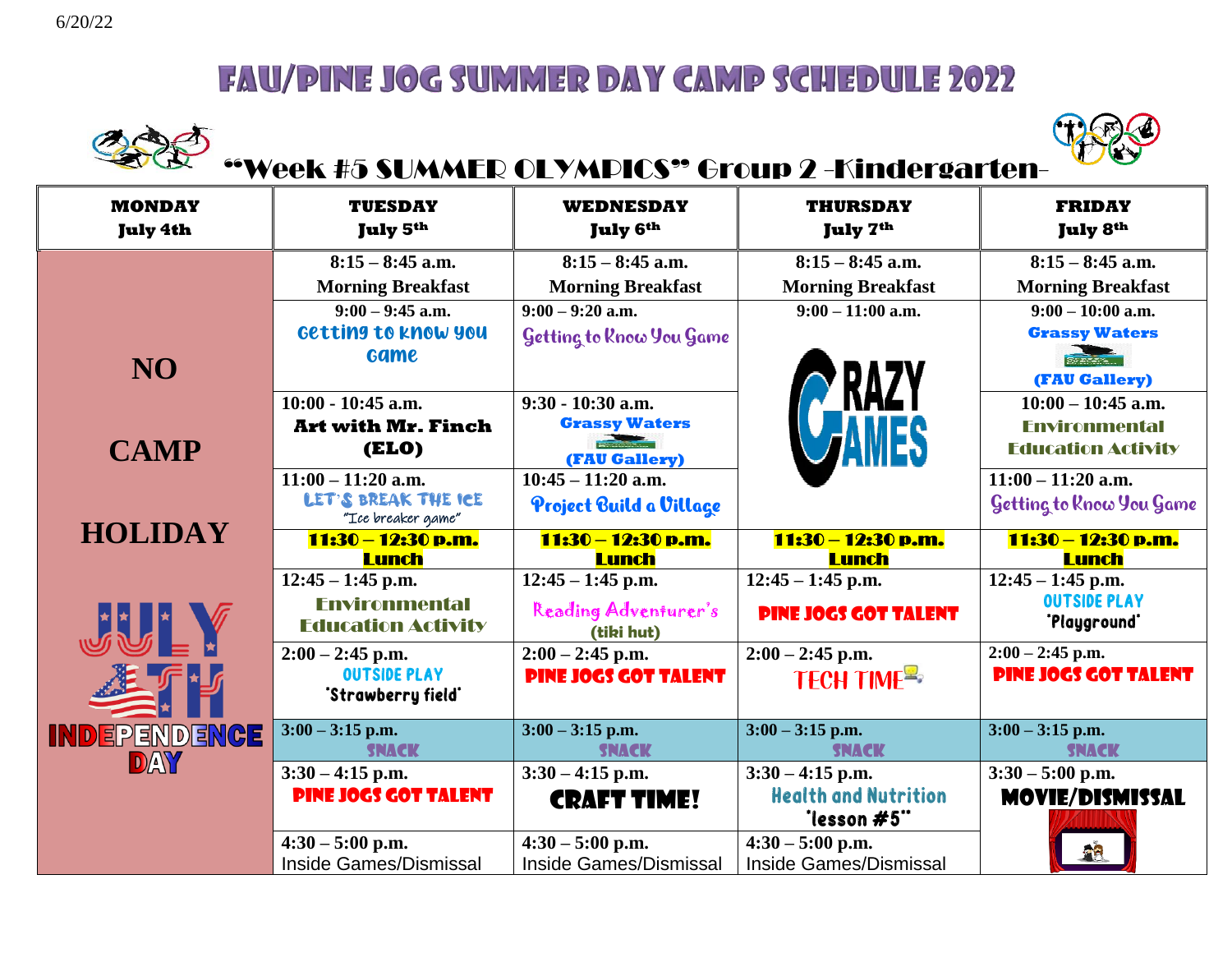



# "Week #5 SUMMER OLYMPICS" Group 2 -Kindergarten-

| <b>MONDAY</b><br><b>July 4th</b> | <b>TUESDAY</b><br>July 5 <sup>th</sup>            | WEDNESDAY<br><b>July 6th</b>       | <b>THURSDAY</b><br>July 7 <sup>th</sup>    | <b>FRIDAY</b><br><b>July 8th</b>    |
|----------------------------------|---------------------------------------------------|------------------------------------|--------------------------------------------|-------------------------------------|
|                                  | $8:15 - 8:45$ a.m.                                | $8:15 - 8:45$ a.m.                 | $8:15 - 8:45$ a.m.                         | $8:15 - 8:45$ a.m.                  |
|                                  | <b>Morning Breakfast</b>                          | <b>Morning Breakfast</b>           | <b>Morning Breakfast</b>                   | <b>Morning Breakfast</b>            |
|                                  | $9:00 - 9:45$ a.m.                                | $9:00 - 9:20$ a.m.                 | $9:00 - 11:00$ a.m.                        | $9:00 - 10:00$ a.m.                 |
|                                  | Getting to know you                               | Getting to Rnow You Game           |                                            | <b>Grassy Waters</b>                |
| <b>NO</b>                        | <b>Game</b>                                       |                                    | <b>RAZY</b><br><b>FAMES</b>                | <b>CONTRACTOR</b><br>(FAU Gallery)  |
|                                  | $10:00 - 10:45$ a.m.                              | $9:30 - 10:30$ a.m.                |                                            | $10:00 - 10:45$ a.m.                |
|                                  | <b>Art with Mr. Finch</b>                         | <b>Grassy Waters</b>               |                                            | <b>Environmental</b>                |
| <b>CAMP</b>                      | <b>(ELO)</b>                                      | <b>Programmer</b><br>(FAU Gallery) |                                            | <b>Education Activity</b>           |
|                                  | $11:00 - 11:20$ a.m.                              | $10:45 - 11:20$ a.m.               |                                            | $11:00 - 11:20$ a.m.                |
|                                  | LET'S BREAK THE ICE<br>"Ice breaker game"         | Project Build a Village            |                                            | Getting to Know You Game            |
| <b>HOLIDAY</b>                   | 11:30 - 12:30 p.m.<br><b>Lunch</b>                | 11:30 - 12:30 p.m.<br><b>Lunch</b> | 11:30 - 12:30 p.m.<br><b>Lunch</b>         | 11:30 - 12:30 p.m.<br><b>Lunch</b>  |
|                                  | $12:45 - 1:45$ p.m.                               | $12:45 - 1:45$ p.m.                | $12:45 - 1:45$ p.m.                        | $12:45 - 1:45$ p.m.                 |
| JU V                             | <b>Environmental</b><br><b>Education Activity</b> | Reading Adventurer's<br>(tiki hut) | <b>PINE JOGS GOT TALENT</b>                | <b>OUTSIDE PLAY</b><br>'Playground' |
|                                  | $2:00 - 2:45$ p.m.                                | $2:00 - 2:45$ p.m.                 | $2:00 - 2:45$ p.m.                         | $2:00 - 2:45$ p.m.                  |
|                                  | <b>OUTSIDE PLAY</b><br>"Strawberry field"         | <b>PINE JOGS GOT TALENT</b>        | TECH TIME                                  | <b>PINE JOGS GOT TALENT</b>         |
| <b>INDEPENDENCE</b>              | $3:00 - 3:15$ p.m.                                | $3:00 - 3:15$ p.m.                 | $3:00 - 3:15$ p.m.                         | $3:00 - 3:15$ p.m.                  |
| DAY                              | <b>SNACK</b>                                      | <b>SNACK</b>                       | <b>SNACK</b>                               | <b>SNACK</b>                        |
|                                  | $3:30 - 4:15$ p.m.                                | $3:30 - 4:15$ p.m.                 | $3:30 - 4:15$ p.m.                         | $3:30 - 5:00$ p.m.                  |
|                                  | <b>PINE JOGS GOT TALENT</b>                       | <b>CRAFT TIME!</b>                 | <b>Health and Nutrition</b><br>"lesson #5" | <b>MOVIE/DISMISSAL</b>              |
|                                  | $4:30 - 5:00$ p.m.                                | $4:30 - 5:00$ p.m.                 | $4:30 - 5:00$ p.m.                         |                                     |
|                                  | <b>Inside Games/Dismissal</b>                     | Inside Games/Dismissal             | <b>Inside Games/Dismissal</b>              |                                     |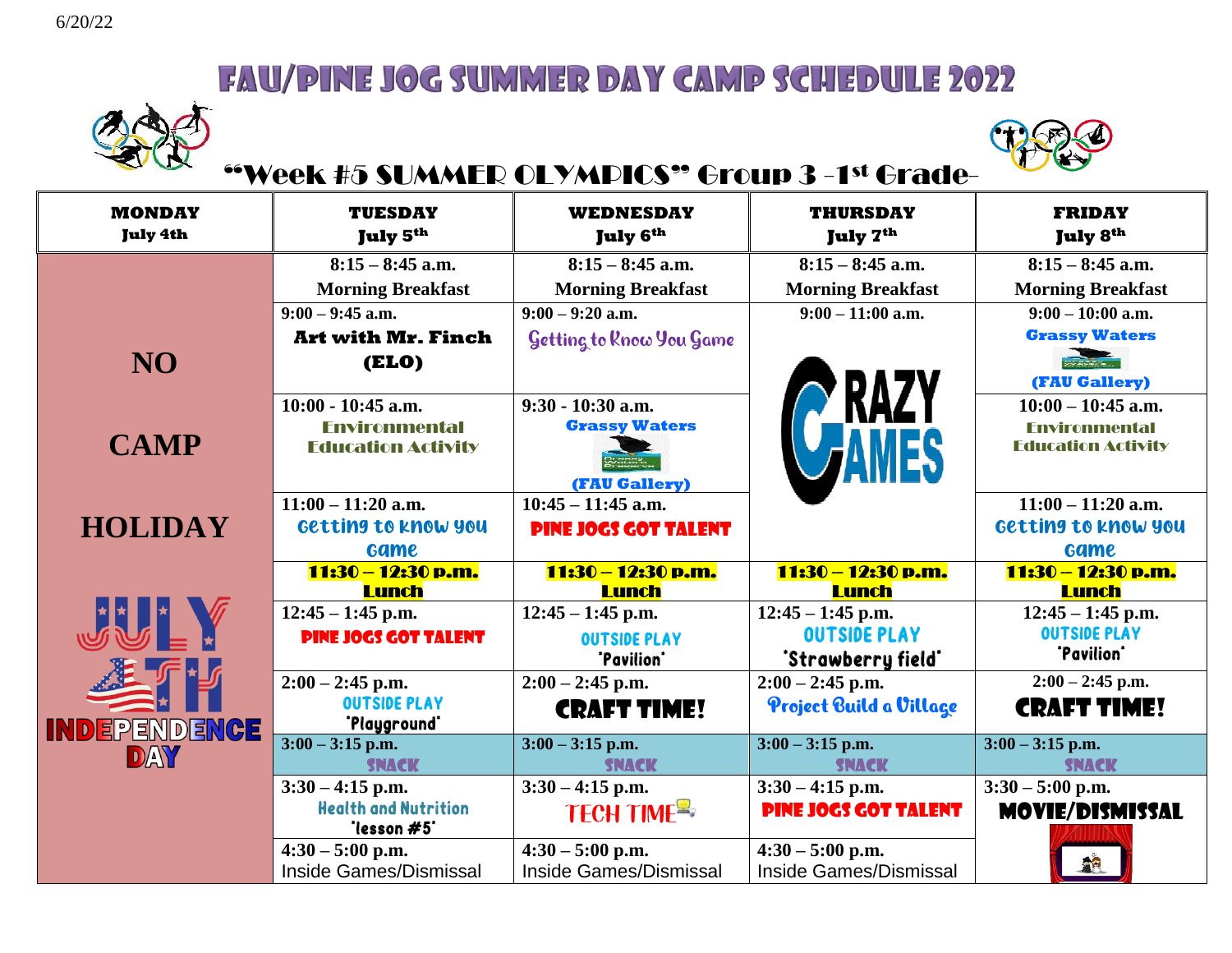



### "Week #5 SUMMER OLYMPICS" Group 3 -1st Grade-

| <b>MONDAY</b><br><b>July 4th</b> | <b>TUESDAY</b><br>July 5th                                                | <b>WEDNESDAY</b><br><b>July 6th</b>                          | <b>THURSDAY</b><br>July 7 <sup>th</sup>                    | <b>FRIDAY</b><br><b>July 8th</b>                                          |
|----------------------------------|---------------------------------------------------------------------------|--------------------------------------------------------------|------------------------------------------------------------|---------------------------------------------------------------------------|
|                                  | $8:15 - 8:45$ a.m.                                                        | $8:15 - 8:45$ a.m.                                           | $8:15 - 8:45$ a.m.                                         | $8:15 - 8:45$ a.m.                                                        |
|                                  | <b>Morning Breakfast</b>                                                  | <b>Morning Breakfast</b>                                     | <b>Morning Breakfast</b>                                   | <b>Morning Breakfast</b>                                                  |
|                                  | $9:00 - 9:45$ a.m.                                                        | $9:00 - 9:20$ a.m.                                           | $9:00 - 11:00$ a.m.                                        | $9:00 - 10:00$ a.m.                                                       |
|                                  | <b>Art with Mr. Finch</b>                                                 | Getting to Rnow You Game                                     |                                                            | <b>Grassy Waters</b>                                                      |
| NO <sub>1</sub>                  | (ELO)                                                                     |                                                              |                                                            | SVETEN<br>(FAU Gallery)                                                   |
| <b>CAMP</b>                      | $10:00 - 10:45$ a.m.<br><b>Fnvironmental</b><br><b>Education Activity</b> | $9:30 - 10:30$ a.m.<br><b>Grassy Waters</b><br>(FAU Gallery) | <b>RAZY</b>                                                | $10:00 - 10:45$ a.m.<br><b>Environmental</b><br><b>Education Activity</b> |
| <b>HOLIDAY</b>                   | $11:00 - 11:20$ a.m.<br>Getting to know you<br><b>Game</b>                | $10:45 - 11:45$ a.m.<br><b>PINE JOGS GOT TALENT</b>          |                                                            | $11:00 - 11:20$ a.m.<br>Getting to know you<br><b>Game</b>                |
|                                  | 11:30 - 12:30 p.m.                                                        | 11:30 - 12:30 p.m.                                           | 11:30 - 12:30 p.m.                                         | 11:30 - 12:30 p.m.                                                        |
| JU A                             | <b>Lunch</b><br>$12:45 - 1:45$ p.m.<br><b>PINE JOGS GOT TALENT</b>        | <b>Lunch</b><br>$12:45 - 1:45$ p.m.<br><b>OUTSIDE PLAY</b>   | <b>Lunch</b><br>$12:45 - 1:45$ p.m.<br><b>OUTSIDE PLAY</b> | <b>Lunch</b><br>$12:45 - 1:45$ p.m.<br><b>OUTSIDE PLAY</b><br>"Pavilion"  |
|                                  |                                                                           | "Pavilion"                                                   | 'Strawberry field'                                         |                                                                           |
| <b>INDEPENDENCE</b>              | $2:00 - 2:45$ p.m.<br><b>OUTSIDE PLAY</b><br>'Playground'                 | $2:00 - 2:45$ p.m.<br><b>CRAFT TIME!</b>                     | $2:00 - 2:45$ p.m.<br>Project Build a Village              | $2:00 - 2:45$ p.m.<br><b>CRAFT TIME!</b>                                  |
| DAY                              | $3:00 - 3:15$ p.m.                                                        | $3:00 - 3:15$ p.m.                                           | $3:00 - 3:15$ p.m.                                         | $3:00 - 3:15$ p.m.                                                        |
|                                  | <b>SNACK</b>                                                              | <b>SNACK</b>                                                 | <b>SNACK</b>                                               | <b>SNACK</b>                                                              |
|                                  | $3:30 - 4:15$ p.m.<br><b>Health and Nutrition</b><br>"lesson #5"          | $3:30 - 4:15$ p.m.<br>TECH TIME <sup>R</sup>                 | $3:30 - 4:15$ p.m.<br><b>PINE JOGS GOT TALENT</b>          | $3:30 - 5:00$ p.m.<br><b>MOVIE/DISMISSAL</b>                              |
|                                  | $4:30 - 5:00$ p.m.<br>Inside Games/Dismissal                              | $4:30 - 5:00$ p.m.<br><b>Inside Games/Dismissal</b>          | $4:30 - 5:00$ p.m.<br><b>Inside Games/Dismissal</b>        | <b>A</b> R                                                                |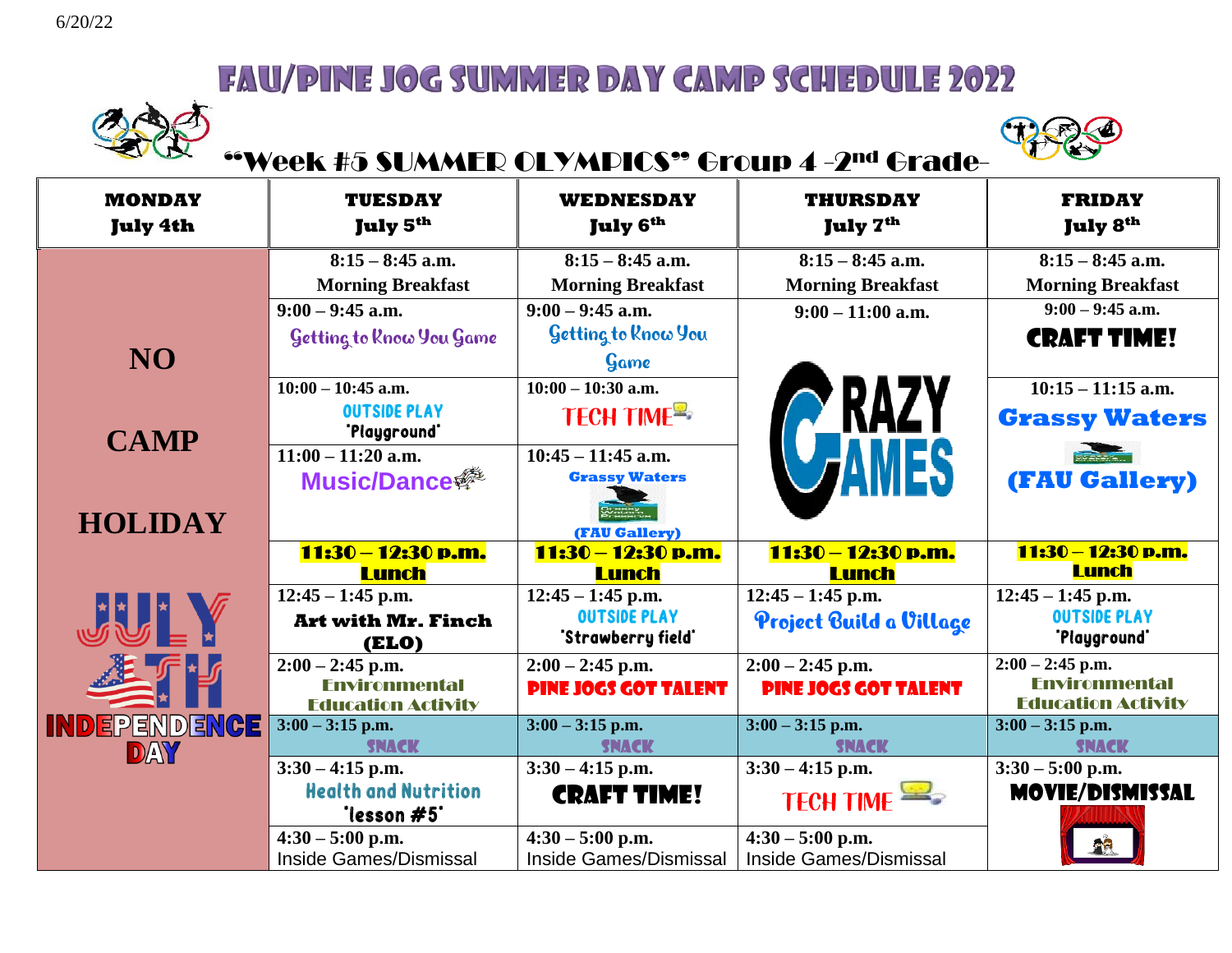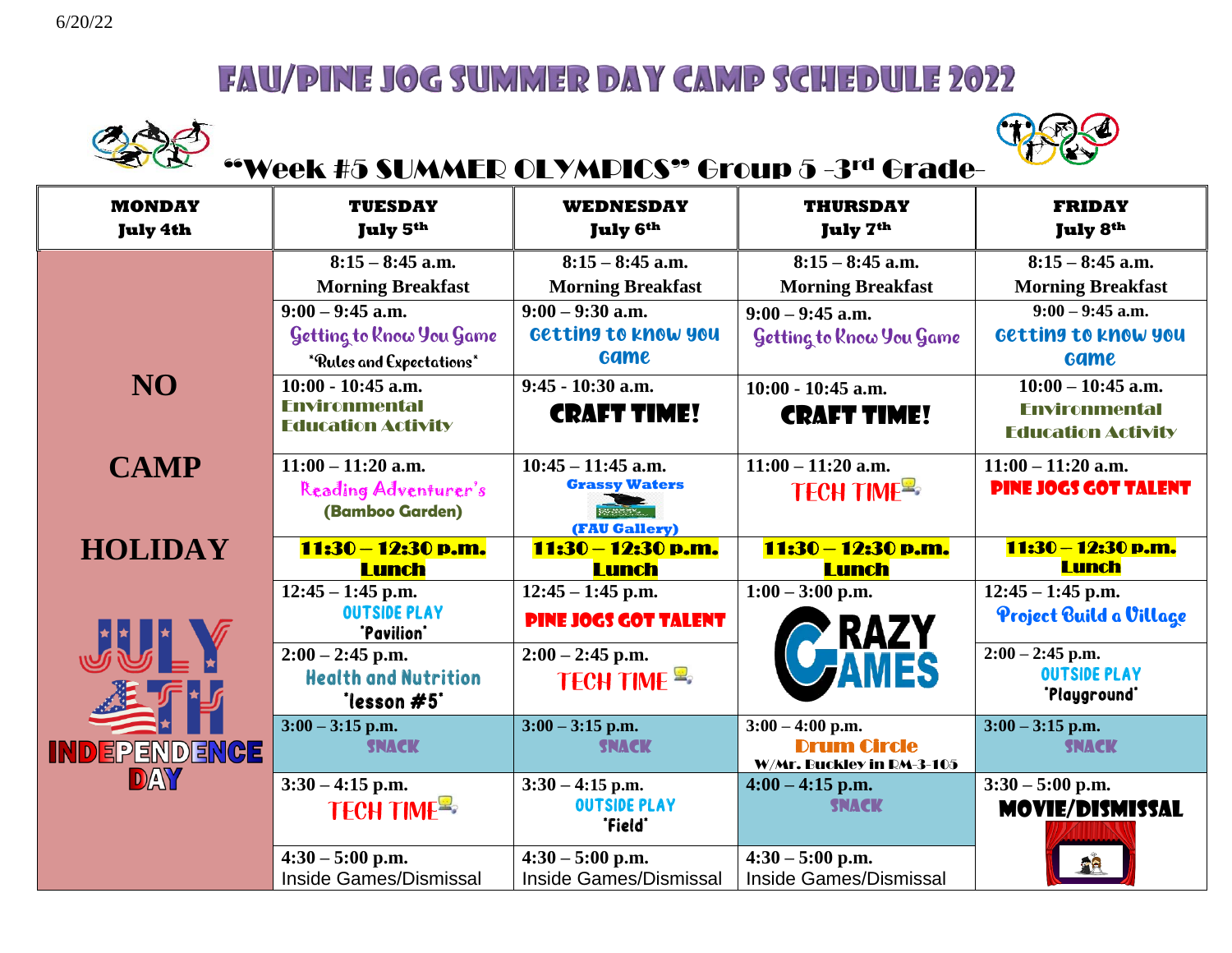



# "Week #5 SUMMER OLYMPICS" Group 5 -3rd Grade-

| <b>MONDAY</b><br><b>July 4th</b> | <b>TUESDAY</b><br>July 5th         | WEDNESDAY<br><b>July 6th</b>       | <b>THURSDAY</b><br>July 7 <sup>th</sup>         | <b>FRIDAY</b><br><b>July 8th</b>   |
|----------------------------------|------------------------------------|------------------------------------|-------------------------------------------------|------------------------------------|
|                                  | $8:15 - 8:45$ a.m.                 | $8:15 - 8:45$ a.m.                 | $8:15 - 8:45$ a.m.                              | $8:15 - 8:45$ a.m.                 |
|                                  | <b>Morning Breakfast</b>           | <b>Morning Breakfast</b>           | <b>Morning Breakfast</b>                        | <b>Morning Breakfast</b>           |
|                                  | $9:00 - 9:45$ a.m.                 | $9:00 - 9:30$ a.m.                 | $9:00 - 9:45$ a.m.                              | $9:00 - 9:45$ a.m.                 |
|                                  | Getting to Know You Game           | Getting to know you                | Getting to Rnow You Game                        | Getting to know you                |
|                                  | *Rules and Expectations*           | <b>Game</b>                        |                                                 | <b>Game</b>                        |
| NO <sub>1</sub>                  | $10:00 - 10:45$ a.m.               | $9:45 - 10:30$ a.m.                | $10:00 - 10:45$ a.m.                            | $10:00 - 10:45$ a.m.               |
|                                  | <b>Fnvironmental</b>               | <b>CRAFT TIME!</b>                 | <b>CRAFT TIME!</b>                              | <b>Environmental</b>               |
|                                  | <b>Education Activity</b>          |                                    |                                                 | <b>Education Activity</b>          |
| <b>CAMP</b>                      | $11:00 - 11:20$ a.m.               | $10:45 - 11:45$ a.m.               | $\overline{11:00} - 11:20$ a.m.                 | $11:00 - 11:20$ a.m.               |
|                                  | Reading Adventurer's               | <b>Grassy Waters</b>               | TECH TIME                                       | <b>PINE JOGS GOT TALENT</b>        |
|                                  | (Bamboo Garden)                    | vann.                              |                                                 |                                    |
|                                  |                                    | (FAU Gallery)                      |                                                 |                                    |
| <b>HOLIDAY</b>                   | 11:30 – 12:30 p.m.<br><b>Lunch</b> | 11:30 – 12:30 p.m.<br><b>Lunch</b> | 11:30 - 12:30 p.m.<br>Lunch                     | 11:30 - 12:30 p.m.<br><b>Lunch</b> |
|                                  | $12:45 - 1:45$ p.m.                | $12:45 - 1:45$ p.m.                | $1:00 - 3:00$ p.m.                              | $12:45 - 1:45$ p.m.                |
|                                  | <b>OUTSIDE PLAY</b><br>"Pavilion"  | <b>PINE JOGS GOT TALENT</b>        | <b>' RAZY<br/>Fames</b>                         | Project Build a Village            |
| JU A                             | $2:00 - 2:45$ p.m.                 | $2:00 - 2:45$ p.m.                 |                                                 | $2:00 - 2:45$ p.m.                 |
|                                  | <b>Health and Nutrition</b>        | TECH TIME <sup>R</sup>             |                                                 | <b>OUTSIDE PLAY</b>                |
|                                  | "lesson #5"                        |                                    |                                                 | 'Playground'                       |
|                                  | $3:00 - 3:15$ p.m.                 | $3:00 - 3:15$ p.m.                 | $3:00 - 4:00$ p.m.                              | $3:00 - 3:15$ p.m.                 |
| <b>INDEPENDENCE</b>              | <b>SNACK</b>                       | <b>SNACK</b>                       | <b>Drum Circle</b><br>W/Mr. Buckley in RM-3-105 | <b>SNACK</b>                       |
| DAY                              | $3:30 - 4:15$ p.m.                 | $3:30 - 4:15$ p.m.                 | $4:00 - 4:15$ p.m.                              | $3:30 - 5:00$ p.m.                 |
|                                  | <b>TECH TIME<sup>S</sup></b>       | <b>OUTSIDE PLAY</b>                | <b>SNACK</b>                                    | <b>MOVIE/DISMISSAL</b>             |
|                                  |                                    | "Field"                            |                                                 |                                    |
|                                  |                                    |                                    |                                                 |                                    |
|                                  | $4:30 - 5:00$ p.m.                 | $4:30 - 5:00$ p.m.                 | $4:30 - 5:00$ p.m.                              |                                    |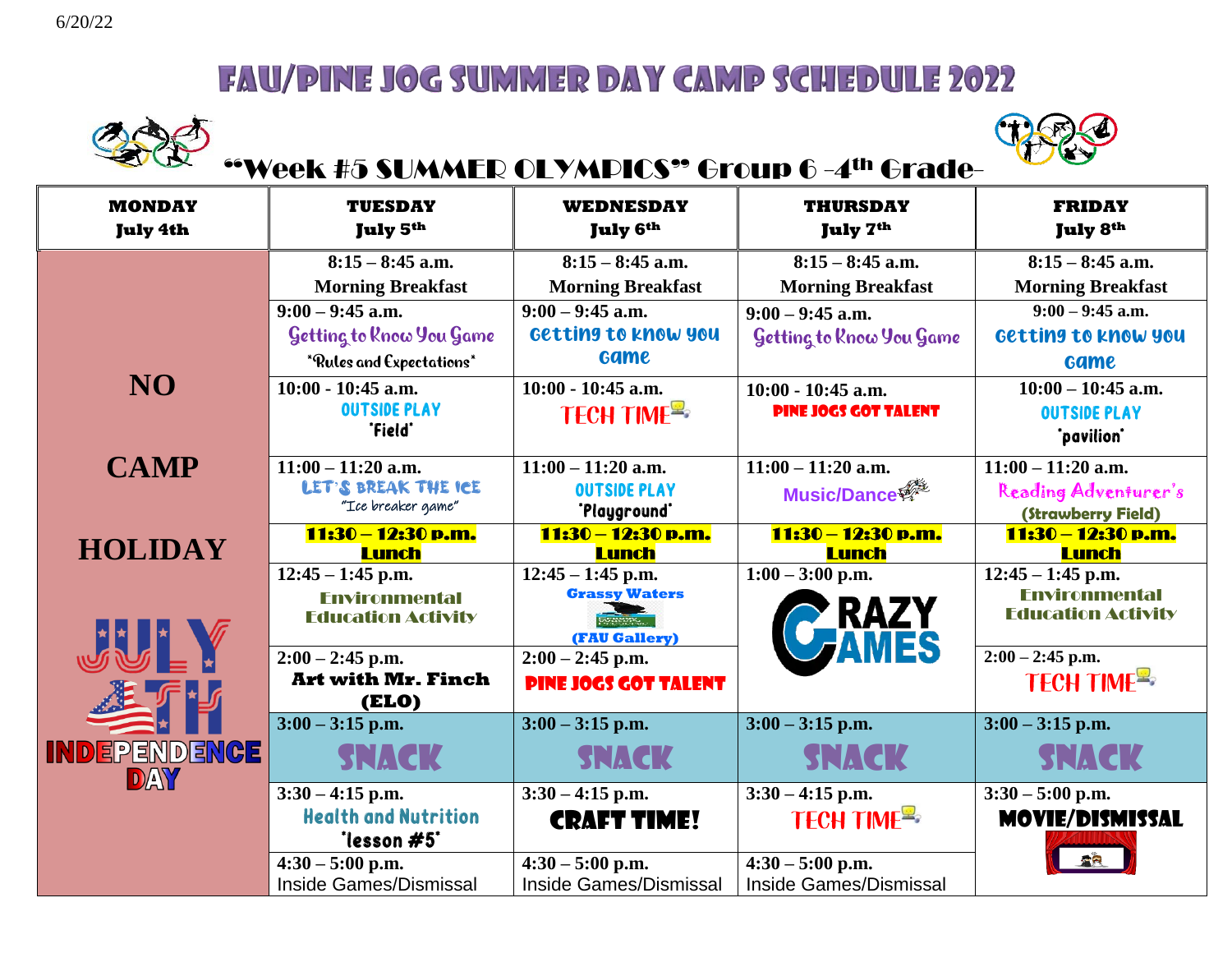



# "Week #5 SUMMER OLYMPICS" Group 6 -4th Grade-

| <b>MONDAY</b><br><b>July 4th</b> | <b>TUESDAY</b><br>July 5 <sup>th</sup> | <b>WEDNESDAY</b><br>July 6th        | <b>THURSDAY</b><br><b>July 7th</b> | <b>FRIDAY</b><br><b>July 8th</b>   |
|----------------------------------|----------------------------------------|-------------------------------------|------------------------------------|------------------------------------|
|                                  | $8:15 - 8:45$ a.m.                     | $8:15 - 8:45$ a.m.                  | $8:15 - 8:45$ a.m.                 | $8:15 - 8:45$ a.m.                 |
|                                  | <b>Morning Breakfast</b>               | <b>Morning Breakfast</b>            | <b>Morning Breakfast</b>           | <b>Morning Breakfast</b>           |
|                                  | $9:00 - 9:45$ a.m.                     | $9:00 - 9:45$ a.m.                  | $9:00 - 9:45$ a.m.                 | $9:00 - 9:45$ a.m.                 |
|                                  | Getting to Rnow You Game               | Getting to know you                 | Getting to Rnow You Game           | Getting to know you                |
|                                  | *Rules and Expectations*               | <b>Game</b>                         |                                    | <b>Game</b>                        |
| NO <sub>1</sub>                  | $10:00 - 10:45$ a.m.                   | $10:00 - 10:45$ a.m.                | $10:00 - 10:45$ a.m.               | $10:00 - 10:45$ a.m.               |
|                                  | <b>OUTSIDE PLAY</b>                    | <b>TECH TIME<sup>S</sup></b>        | <b>PINE JOGS GOT TALENT</b>        | <b>OUTSIDE PLAY</b>                |
|                                  | "Field"                                |                                     |                                    | *pavilion*                         |
| <b>CAMP</b>                      | $11:00 - 11:20$ a.m.                   | $11:00 - 11:20$ a.m.                | $11:00 - 11:20$ a.m.               | $11:00 - 11:20$ a.m.               |
|                                  | LET'S BREAK THE ICE                    | <b>OUTSIDE PLAY</b>                 | Music/Dance                        | Reading Adventurer's               |
|                                  | "Ice breaker game"                     | 'Playground'                        |                                    | (Strawberry Field)                 |
| <b>HOLIDAY</b>                   | 11:30 - 12:30 p.m.<br><b>Lunch</b>     | 11:30 - 12:30 p.m.<br><b>Lunch</b>  | 11:30 - 12:30 p.m.<br><b>Lunch</b> | 11:30 - 12:30 p.m.<br><b>Lunch</b> |
|                                  | $12:45 - 1:45$ p.m.                    | $12:45 - 1:45$ p.m.                 | $1:00 - 3:00$ p.m.                 | $12:45 - 1:45$ p.m.                |
|                                  | <b>Environmental</b>                   | <b>Grassy Waters</b>                |                                    | <b>Environmental</b>               |
|                                  | <b>Education Activity</b>              | <b>RUMENTY</b>                      | <b>RAZY<br/>AMES</b>               | <b>Education Activity</b>          |
| JU A                             | $2:00 - 2:45$ p.m.                     | (FAU Gallery)<br>$2:00 - 2:45$ p.m. |                                    | $2:00 - 2:45$ p.m.                 |
|                                  | <b>Art with Mr. Finch</b>              | <b>PINE JOGS GOT TALENT</b>         |                                    | <b>TECH TIME<sup>E</sup></b>       |
|                                  | <b>(ELO)</b>                           |                                     |                                    |                                    |
|                                  | $3:00 - 3:15$ p.m.                     | $3:00 - 3:15$ p.m.                  | $3:00 - 3:15$ p.m.                 | $3:00 - 3:15$ p.m.                 |
| INDEPENDENCE<br>DAY              | <b>SNACK</b>                           | <b>SNACK</b>                        | <b>SNACK</b>                       | <b>SNACK</b>                       |
|                                  | $3:30 - 4:15$ p.m.                     | $3:30 - 4:15$ p.m.                  | $3:30 - 4:15$ p.m.                 | $3:30 - 5:00$ p.m.                 |
|                                  | <b>Health and Nutrition</b>            | <b>CRAFT TIME!</b>                  | TECH TIME <sup>E</sup>             | <b>MOVIE/DISMISSAL</b>             |
|                                  | "lesson #5"                            |                                     |                                    |                                    |
|                                  | $4:30 - 5:00$ p.m.                     | $4:30 - 5:00$ p.m.                  | $4:30 - 5:00$ p.m.                 |                                    |
|                                  | Inside Games/Dismissal                 | <b>Inside Games/Dismissal</b>       | <b>Inside Games/Dismissal</b>      |                                    |